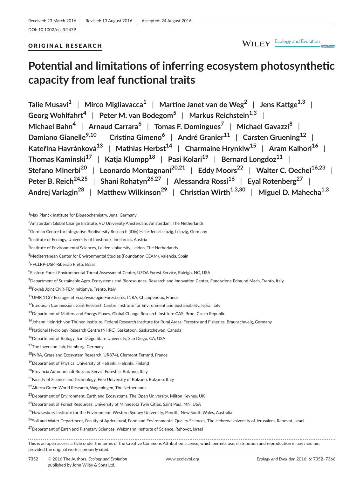#### ORIGINAL RESEARCH

## WILEY Ecology and Evolution

# **Potential and limitations of inferring ecosystem photosynthetic capacity from leaf functional traits**

**Talie Musavi<sup>1</sup>** | **Mirco Migliavacca<sup>1</sup>** | **Martine Janet van de Weg<sup>2</sup>** | **Jens Kattge1,3** | **Georg Wohlfahrt<sup>4</sup>** | **Peter M. van Bodegom<sup>5</sup>** | **Markus Reichstein1,3** | **Michael Bahn<sup>4</sup>** | **Arnaud Carrara<sup>6</sup>** | **Tomas F. Domingues<sup>7</sup>** | **Michael Gavazzi<sup>8</sup>** | **Damiano Gianelle9,10** | **Cristina Gimeno<sup>6</sup>** | **André Granier<sup>11</sup>** | **Carsten Gruening<sup>12</sup>** | **Kateřina Havránková<sup>13</sup>** | **Mathias Herbst<sup>14</sup>** | **Charmaine Hrynkiw<sup>15</sup>** | **Aram Kalhori<sup>16</sup>** | **Thomas Kaminski<sup>17</sup>** | **Katja Klumpp<sup>18</sup>** | **Pasi Kolari<sup>19</sup>** | **Bernard Longdoz<sup>11</sup>** | **Stefano Minerbi<sup>20</sup>** | **Leonardo Montagnani20,21** | **Eddy Moors<sup>22</sup>** | **Walter C. Oechel16,23** | **Peter B. Reich24,25** | **Shani Rohatyn26,27** | **Alessandra Rossi<sup>16</sup>** | **Eyal Rotenberg<sup>27</sup>** | **Andrej Varlagin<sup>28</sup>** | **Matthew Wilkinson<sup>29</sup>** | **Christian Wirth1,3,30** | **Miguel D. Mahecha1,3**

 $^9$ Department of Sustainable Agro-Ecosystems and Bioresources, Research and Innovation Center, Fondazione Edmund Mach, Trento, Italy

<sup>10</sup>Foxlab Joint CNR-FEM Initiative, Trento, Italy

<sup>14</sup>Johann Heinrich von Thünen Institute, Federal Research Institute for Rural Areas, Forestry and Fisheries, Braunschweig, Germany

<sup>26</sup>Soil and Water Department, Faculty of Agricultural, Food and Environmental Quality Sciences, The Hebrew University of Jerusalem, Rehovot, Israel

<sup>&</sup>lt;sup>1</sup>Max Planck Institute for Biogeochemistry, Jena, Germany

 $^2$ Amsterdam Global Change Institute, VU University Amsterdam, Amsterdam, The Netherlands

 $^3$ German Centre for Integrative Biodiversity Research (iDiv) Halle-Jena-Leipzig, Leipzig, Germany

<sup>4</sup> Institute of Ecology, University of Innsbruck, Innsbruck, Austria

<sup>&</sup>lt;sup>5</sup>Institute of Environmental Sciences, Leiden University, Leiden, The Netherlands

<sup>&</sup>lt;sup>6</sup>Mediterranean Center for Environmental Studies (Foundation CEAM), Valencia, Spain

<sup>&</sup>lt;sup>7</sup>FFCLRP-USP, Ribeirão Preto, Brasil

<sup>&</sup>lt;sup>8</sup>Eastern Forest Environmental Threat Assessment Center, USDA Forest Service, Raleigh, NC, USA

<sup>11</sup>UMR 1137 Ecologie et Ecophysiologie Forestierès, INRA, Champenoux, France

<sup>&</sup>lt;sup>12</sup>European Commission, Joint Research Centre, Institute for Environment and Sustainability, Ispra, Italy

<sup>&</sup>lt;sup>13</sup>Department of Matters and Energy Fluxes, Global Change Research Institute CAS, Brno, Czech Republic

<sup>15</sup>National Hydrology Research Centre (NHRC), Saskatoon, Saskatchewan, Canada

<sup>&</sup>lt;sup>16</sup>Department of Biology, San Diego State University, San Diego, CA, USA

<sup>&</sup>lt;sup>17</sup>The Inversion Lab, Hamburg, Germany

<sup>18</sup>INRA, Grassland Ecosystem Research (UR874), Clermont Ferrand, France

 $19$ Department of Physics, University of Helsinki, Helsinki, Finland

<sup>20</sup>Provincia Autonoma di Bolzano Servizi Forestali, Bolzano, Italy

<sup>&</sup>lt;sup>21</sup> Faculty of Science and Technology, Free University of Bolzano, Bolzano, Italy

<sup>22</sup>Alterra Green World Research, Wageningen, The Netherlands

<sup>&</sup>lt;sup>23</sup>Department of Environment, Earth and Ecosystems, The Open University, Milton Keynes, UK

<sup>&</sup>lt;sup>24</sup>Department of Forest Resources, University of Minnesota Twin Cities, Saint Paul, MN, USA

<sup>&</sup>lt;sup>25</sup>Hawkesbury Institute for the Environment, Western Sydney University, Penrith, New South Wales, Australia

<sup>&</sup>lt;sup>27</sup>Department of Earth and Planetary Sciences, Weizmann Institute of Science, Rehovot, Israel

This is an open access article under the terms of the [Creative Commons Attribution](http://creativecommons.org/licenses/by/4.0/) License, which permits use, distribution and reproduction in any medium, provided the original work is properly cited.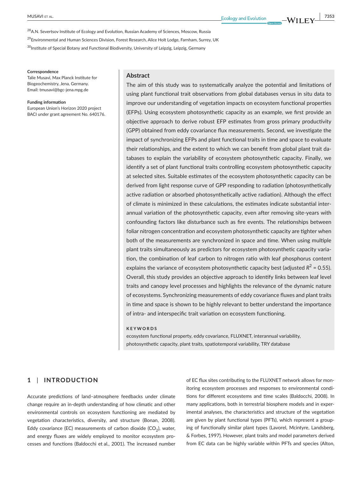<sup>28</sup> A.N. Severtsov Institute of Ecology and Evolution, Russian Academy of Sciences, Moscow, Russia

<sup>29</sup> Environmental and Human Sciences Division, Forest Research, Alice Holt Lodge, Farnham, Surrey, UK

<sup>30</sup>Institute of Special Botany and Functional Biodiversity, University of Leipzig, Leipzig, Germany

#### **Correspondence**

Talie Musavi, Max Planck Institute for Biogeochemistry, Jena, Germany. Email: [tmusavi@bgc-jena.mpg.de](mailto:tmusavi@bgc-jena.mpg.de)

**Funding information** European Union's Horizon 2020 project BACI under grant agreement No. 640176.

#### **Abstract**

The aim of this study was to systematically analyze the potential and limitations of using plant functional trait observations from global databases versus in situ data to improve our understanding of vegetation impacts on ecosystem functional properties (EFPs). Using ecosystem photosynthetic capacity as an example, we first provide an objective approach to derive robust EFP estimates from gross primary productivity (GPP) obtained from eddy covariance flux measurements. Second, we investigate the impact of synchronizing EFPs and plant functional traits in time and space to evaluate their relationships, and the extent to which we can benefit from global plant trait databases to explain the variability of ecosystem photosynthetic capacity. Finally, we identify a set of plant functional traits controlling ecosystem photosynthetic capacity at selected sites. Suitable estimates of the ecosystem photosynthetic capacity can be derived from light response curve of GPP responding to radiation (photosynthetically active radiation or absorbed photosynthetically active radiation). Although the effect of climate is minimized in these calculations, the estimates indicate substantial interannual variation of the photosynthetic capacity, even after removing site-years with confounding factors like disturbance such as fire events. The relationships between foliar nitrogen concentration and ecosystem photosynthetic capacity are tighter when both of the measurements are synchronized in space and time. When using multiple plant traits simultaneously as predictors for ecosystem photosynthetic capacity variation, the combination of leaf carbon to nitrogen ratio with leaf phosphorus content explains the variance of ecosystem photosynthetic capacity best (adjusted  $R^2$  = 0.55). Overall, this study provides an objective approach to identify links between leaf level traits and canopy level processes and highlights the relevance of the dynamic nature of ecosystems. Synchronizing measurements of eddy covariance fluxes and plant traits in time and space is shown to be highly relevant to better understand the importance of intra- and interspecific trait variation on ecosystem functioning.

#### **KEYWORDS**

ecosystem functional property, eddy covariance, FLUXNET, interannual variability, photosynthetic capacity, plant traits, spatiotemporal variability, TRY database

#### **1** | **INTRODUCTION**

Accurate predictions of land–atmosphere feedbacks under climate change require an in-depth understanding of how climatic and other environmental controls on ecosystem functioning are mediated by vegetation characteristics, diversity, and structure (Bonan, 2008). Eddy covariance (EC) measurements of carbon dioxide (CO<sub>2</sub>), water, and energy fluxes are widely employed to monitor ecosystem processes and functions (Baldocchi et al., 2001). The increased number

of EC flux sites contributing to the FLUXNET network allows for monitoring ecosystem processes and responses to environmental conditions for different ecosystems and time scales (Baldocchi, 2008). In many applications, both in terrestrial biosphere models and in experimental analyses, the characteristics and structure of the vegetation are given by plant functional types (PFTs), which represent a grouping of functionally similar plant types (Lavorel, Mcintyre, Landsberg, & Forbes, 1997). However, plant traits and model parameters derived from EC data can be highly variable within PFTs and species (Alton,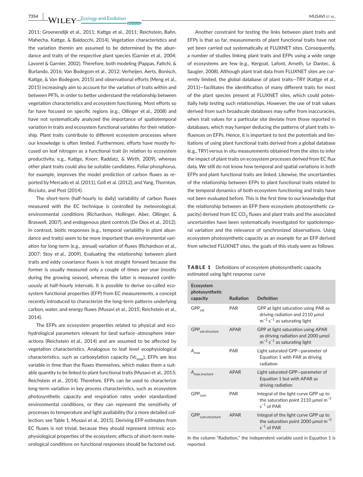**7354 WII FY** Ecology and Evolution <u>Construction Construction Constru</u>ction Construction Construction Construction Construction Construction Construction Construction Construction Construction Construction Construction Co

2011; Groenendijk et al., 2011; Kattge et al., 2011; Reichstein, Bahn, Mahecha, Kattge, & Baldocchi, 2014). Vegetation characteristics and the variation therein are assumed to be determined by the abundance and traits of the respective plant species (Garnier et al., 2004; Lavorel & Garnier, 2002). Therefore, both modeling (Pappas, Fatichi, & Burlando, 2016; Van Bodegom et al., 2012; Verheijen, Aerts, Bonisch, Kattge, & Van Bodegom, 2015) and observational efforts (Meng et al., 2015) increasingly aim to account for the variation of traits within and between PFTs, in order to better understand the relationship between vegetation characteristics and ecosystem functioning. Most efforts so far have focused on specific regions (e.g., Ollinger et al., 2008) and have not systematically analyzed the importance of spatiotemporal variation in traits and ecosystem functional variables for their relationship. Plant traits contribute to different ecosystem processes where our knowledge is often limited. Furthermore, efforts have mostly focused on leaf nitrogen as a functional trait (in relation to ecosystem productivity, e.g., Kattge, Knorr, Raddatz, & Wirth, 2009), whereas other plant traits could also be suitable candidates. Foliar phosphorus, for example, improves the model prediction of carbon fluxes as reported by Mercado et al. (2011), Goll et al. (2012), and Yang, Thornton, Ricciuto, and Post (2014).

The short-term (half-hourly to daily) variability of carbon fluxes measured with the EC technique is controlled by meteorological, environmental conditions (Richardson, Hollinger, Aber, Ollinger, & Braswell, 2007), and endogenous plant controls (De Dios et al., 2012). In contrast, biotic responses (e.g., temporal variability in plant abundance and traits) seem to be more important than environmental variation for long-term (e.g., annual) variation of fluxes (Richardson et al., 2007; Stoy et al., 2009). Evaluating the relationship between plant traits and eddy covariance fluxes is not straight forward because the former is usually measured only a couple of times per year (mostly during the growing season), whereas the latter is measured continuously at half-hourly intervals. It is possible to derive so-called ecosystem functional properties (EFP) from EC measurements, a concept recently introduced to characterize the long-term patterns underlying carbon, water, and energy fluxes (Musavi et al., 2015; Reichstein et al., 2014).

The EFPs are ecosystem properties related to physical and ecohydrological parameters relevant for land surface–atmosphere interactions (Reichstein et al., 2014) and are assumed to be affected by vegetation characteristics. Analogous to leaf level ecophysiological characteristics, such as carboxylation capacity ( $V_{\rm C_{max}}$ ), EFPs are less variable in time than the fluxes themselves, which makes them a suitable quantity to be linked to plant functional traits (Musavi et al., 2015; Reichstein et al., 2014). Therefore, EFPs can be used to characterize long-term variation in key process characteristics, such as ecosystem photosynthetic capacity and respiration rates under standardized environmental conditions, or they can represent the sensitivity of processes to temperature and light availability (for a more detailed collection; see Table 1, Musavi et al., 2015). Deriving EFP estimates from EC fluxes is not trivial, because they should represent intrinsic ecophysiological properties of the ecosystem; effects of short-term meteorological conditions on functional responses should be factored out.

Another constraint for testing the links between plant traits and EFPs is that so far, measurements of plant functional traits have not yet been carried out systematically at FLUXNET sites. Consequently, a number of studies linking plant traits and EFPs using a wide range of ecosystems are few (e.g., Kergoat, Lafont, Arneth, Le Dantec, & Saugier, 2008). Although plant trait data from FLUXNET sites are currently limited, the global database of plant traits—TRY (Kattge et al., 2011)—facilitates the identification of many different traits for most of the plant species present at FLUXNET sites, which could potentially help testing such relationships. However, the use of trait values derived from such broadscale databases may suffer from inaccuracies, when trait values for a particular site deviate from those reported in databases, which may hamper deducing the patterns of plant traits influences on EFPs. Hence, it is important to test the potentials and limitations of using plant functional traits derived from a global database (e.g., TRY) versus in situ measurements obtained from the sites to infer the impact of plant traits on ecosystem processes derived from EC flux data. We still do not know how temporal and spatial variations in both EFPs and plant functional traits are linked. Likewise, the uncertainties of the relationship between EFPs to plant functional traits related to the temporal dynamics of both ecosystem functioning and traits have not been evaluated before. This is the first time to our knowledge that the relationship between an EFP (here ecosystem photosynthetic capacity) derived from EC  $CO<sub>2</sub>$  fluxes and plant traits and the associated uncertainties have been systematically investigated for spatiotemporal variation and the relevance of synchronized observations. Using ecosystem photosynthetic capacity as an example for an EFP derived from selected FLUXNET sites, the goals of this study were as follows:

| <b>TABLE 1</b> Definitions of ecosystem photosynthetic capacity |
|-----------------------------------------------------------------|
| estimated using light response curve                            |

| Ecosystem<br>photosynthetic<br>capacity | Radiation   | Definition                                                                                                               |
|-----------------------------------------|-------------|--------------------------------------------------------------------------------------------------------------------------|
|                                         |             |                                                                                                                          |
| GPP <sub>sat</sub>                      | <b>PAR</b>  | GPP at light saturation using PAR as<br>driving radiation and 2110 µmol<br>$m^{-2}$ s <sup>-1</sup> as saturating light  |
| GPP <sub>sat.structure</sub>            | <b>APAR</b> | GPP at light saturation using APAR<br>as driving radiation and 2000 µmol<br>$m^{-2}$ s <sup>-1</sup> as saturating light |
| $A_{\text{max}}$                        | <b>PAR</b>  | Light saturated GPP-parameter of<br>Equation 1 with PAR as driving<br>radiation                                          |
| A <sub>max.sructure</sub>               | <b>APAR</b> | Light saturated GPP-parameter of<br>Equation 1 but with APAR as<br>driving radiation                                     |
| $GPP_{cum}$                             | <b>PAR</b>  | Integral of the light curve GPP up to<br>the saturation point 2110 $\mu$ mol m <sup>-2</sup><br>$s^{-1}$ of PAR          |
| GPP <sub>cum.structure</sub>            | <b>APAR</b> | Integral of the light curve GPP up to<br>the saturation point 2000 $\mu$ mol m <sup>-2</sup><br>$s^{-1}$ of PAR          |

In the column "Radiation," the independent variable used in Equation 1 is reported.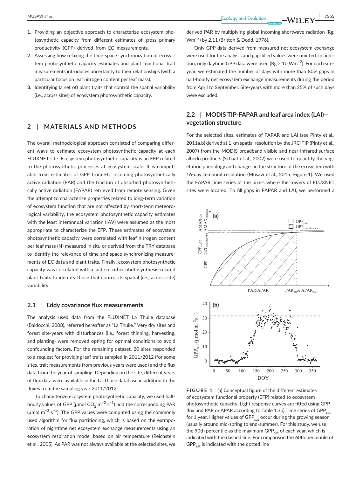- **1.** Providing an objective approach to characterize ecosystem photosynthetic capacity from different estimates of gross primary productivity (GPP) derived from EC measurements.
- **2.** Assessing how relaxing the time-space synchronization of ecosystem photosynthetic capacity estimates and plant functional trait measurements introduces uncertainty to their relationships (with a particular focus on leaf nitrogen content per leaf mass).
- **3.** Identifying (a set of) plant traits that control the spatial variability (i.e., across sites) of ecosystem photosynthetic capacity.

### **2** | **MATERIALS AND METHODS**

The overall methodological approach consisted of comparing different ways to estimate ecosystem photosynthetic capacity at each FLUXNET site. Ecosystem photosynthetic capacity is an EFP related to the photosynthetic processes at ecosystem scale. It is computable from estimates of GPP from EC, incoming photosynthetically active radiation (PAR) and the fraction of absorbed photosynthetically active radiation (FAPAR) retrieved from remote sensing. Given the attempt to characterize properties related to long-term variation of ecosystem function that are not affected by short-term meteorological variability, the ecosystem photosynthetic capacity estimates with the least interannual variation (IAV) were assumed as the most appropriate to characterize the EFP. These estimates of ecosystem photosynthetic capacity were correlated with leaf nitrogen content per leaf mass (N) measured in situ or derived from the TRY database to identify the relevance of time and space synchronizing measurements of EC data and plant traits. Finally, ecosystem photosynthetic capacity was correlated with a suite of other photosynthesis-related plant traits to identify those that control its spatial (i.e., across site) variability.

#### **2.1** | **Eddy covariance flux measurements**

The analysis used data from the FLUXNET La Thuile database (Baldocchi, 2008), referred hereafter as "La Thuile." Very dry sites and forest site-years with disturbances (i.e., forest thinning, harvesting, and planting) were removed opting for optimal conditions to avoid confounding factors. For the remaining dataset, 20 sites responded to a request for providing leaf traits sampled in 2011/2012 (for some sites, trait measurements from previous years were used) and the flux data from the year of sampling. Depending on the site, different years of flux data were available in the La Thuile database in addition to the fluxes from the sampling year 2011/2012.

To characterize ecosystem photosynthetic capacity, we used halfhourly values of GPP (µmol  $CO_2$  m<sup>-2</sup> s<sup>-1</sup>) and the corresponding PAR ( $\mu$ mol m<sup>-2</sup> s<sup>-1</sup>). The GPP values were computed using the commonly used algorithm for flux partitioning, which is based on the extrapolation of nighttime net ecosystem exchange measurements using an ecosystem respiration model based on air temperature (Reichstein et al., 2005). As PAR was not always available at the selected sites, we derived PAR by multiplying global incoming shortwave radiation (Rg, Wm−2) by 2.11 (Britton & Dodd, 1976).

Only GPP data derived from measured net ecosystem exchange were used for the analysis and gap-filled values were omitted. In addition, only daytime GPP data were used (Rg > 10 Wm−2). For each siteyear, we estimated the number of days with more than 80% gaps in half-hourly net ecosystem exchange measurements during the period from April to September. Site-years with more than 25% of such days were excluded.

## **2.2** | **MODIS TIP-FAPAR and leaf area index (LAI) vegetation structure**

For the selected sites, estimates of FAPAR and LAI (see Pinty et al., 2011a,b) derived at 1 km spatial resolution by the JRC-TIP (Pinty et al., 2007) from the MODIS broadband visible and near-infrared surface albedo products (Schaaf et al., 2002) were used to quantify the vegetation phenology and changes in the structure of the ecosystem with 16-day temporal resolution (Musavi et al., 2015; Figure 1). We used the FAPAR time series of the pixels where the towers of FLUXNET sites were located. To fill gaps in FAPAR and LAI, we performed a



**FIGURE 1** (a) Conceptual figure of the different estimates of ecosystem functional property (EFP) related to ecosystem photosynthetic capacity. Light response curves are fitted using GPP flux and PAR or APAR according to Table 1. (b) Time series of GPP $_{sat}$ for 1 year. Higher values of GPP $_{sat}$  occur during the growing season (usually around mid-spring to end-summer). For this study, we use the 90th percentile as the maximum GPP $_{sat}$  of each year, which is indicated with the dashed line. For comparison the 60th percentile of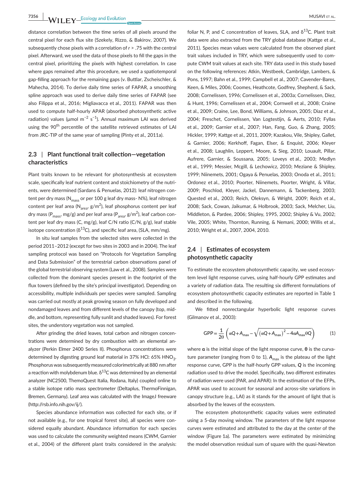**7356 WII FY** Ecology and Evolution **and Experiment Construction** MUSAVI ET AL.

distance correlation between the time series of all pixels around the central pixel for each flux site (Szekely, Rizzo, & Bakirov, 2007). We subsequently chose pixels with a correlation of *r* > .75 with the central pixel. Afterward, we used the data of those pixels to fill the gaps in the central pixel, prioritizing the pixels with highest correlation. In case where gaps remained after this procedure, we used a spatiotemporal gap-filling approach for the remaining gaps (v. Buttlar, Zscheischler, & Mahecha, 2014). To derive daily time series of FAPAR, a smoothing spline approach was used to derive daily time series of FAPAR (see also Filippa et al., 2016; Migliavacca et al., 2011). FAPAR was then used to compute half-hourly APAR (absorbed photosynthetic active radiation) values (µmol m<sup>-2</sup> s<sup>-1</sup>). Annual maximum LAI was derived using the 90<sup>th</sup> percentile of the satellite retrieved estimates of LAI from JRC-TIP of the same year of sampling (Pinty et al.*,* 2011a).

#### **2.3** | **Plant functional trait collection—vegetation characteristics**

Plant traits known to be relevant for photosynthesis at ecosystem scale, specifically leaf nutrient content and stoichiometry of the nutrients, were determined (Sardans & Penuelas, 2012): leaf nitrogen content per dry mass ( $N_{\text{mass}}$  or per 100 g leaf dry mass- N%), leaf nitrogen content per leaf area (N<sub>area</sub>, g/m<sup>2</sup>), leaf phosphorus content per leaf dry mass (P $_{\rm mass}$ , mg/g) and per leaf area (P $_{\rm area}$ , g/m<sup>2</sup>), leaf carbon content per leaf dry mass (C, mg/g), leaf C/N ratio (C/N, g/g), leaf stable isotope concentration ( $\delta^{13}$ C), and specific leaf area, (SLA, mm/mg).

In situ leaf samples from the selected sites were collected in the period 2011–2012 (except for two sites in 2003 and in 2004). The leaf sampling protocol was based on "Protocols for Vegetation Sampling and Data Submission" of the terrestrial carbon observations panel of the global terrestrial observing system (Law et al., 2008). Samples were collected from the dominant species present in the footprint of the flux towers (defined by the site's principal investigator). Depending on accessibility, multiple individuals per species were sampled. Sampling was carried out mostly at peak growing season on fully developed and nondamaged leaves and from different levels of the canopy (top, middle, and bottom, representing fully sunlit and shaded leaves). For forest sites, the understory vegetation was not sampled.

After grinding the dried leaves, total carbon and nitrogen concentrations were determined by dry combustion with an elemental analyzer (Perkin Elmer 2400 Series II). Phosphorus concentrations were determined by digesting ground leaf material in 37% HCl: 65% HNO<sub>3</sub>. Phosphorus was subsequently measured colorimetrically at 880 nm after a reaction with molybdenum blue.  $\delta^{13}$ C was determined by an elemental analyzer (NC2500, ThemoQuest Italia, Rodana, Italy) coupled online to a stable isotope ratio mass spectrometer (Deltaplus, ThermoFinnigan, Bremen, Germany). Leaf area was calculated with the ImageJ freeware [\(http://rsb.info.nih.gov/ij/\)](http://rsb.info.nih.gov/ij/).

Species abundance information was collected for each site, or if not available (e.g., for one tropical forest site), all species were considered equally abundant. Abundance information for each species was used to calculate the community weighted means (CWM, Garnier et al., 2004) of the different plant traits considered in the analysis: foliar N, P, and C concentration of leaves, SLA, and  $\delta^{13}$ C, Plant trait data were also extracted from the TRY global database (Kattge et al., 2011). Species mean values were calculated from the observed plant trait values included in TRY, which were subsequently used to compute CWM trait values at each site. TRY data used in this study based on the following references: Atkin, Westbeek, Cambridge, Lambers, & Pons, 1997; Bahn et al., 1999; Campbell et al., 2007; Cavender-Bares, Keen, & Miles, 2006; Coomes, Heathcote, Godfrey, Shepherd, & Sack, 2008; Cornelissen, 1996; Cornelissen et al., 2003a; Cornelissen, Diez, & Hunt, 1996; Cornelissen et al., 2004; Cornwell et al., 2008; Craine et al., 2009; Craine, Lee, Bond, Williams, & Johnson, 2005; Diaz et al., 2004; Freschet, Cornelissen, Van Logtestijn, & Aerts, 2010; Fyllas et al., 2009; Garnier et al., 2007; Han, Fang, Guo, & Zhang, 2005; Hickler, 1999; Kattge et al., 2011, 2009; Kazakou, Vile, Shipley, Gallet, & Garnier, 2006; Kerkhoff, Fagan, Elser, & Enquist, 2006; Kleyer et al., 2008; Laughlin, Leppert, Moore, & Sieg, 2010; Louault, Pillar, Aufrere, Garnier, & Soussana, 2005; Loveys et al., 2003; Medlyn et al., 1999; Messier, Mcgill, & Lechowicz, 2010; Meziane & Shipley, 1999; Niinemets, 2001; Ogaya & Penuelas, 2003; Onoda et al., 2011; Ordonez et al., 2010; Poorter, Niinemets, Poorter, Wright, & Villar, 2009; Poschlod, Kleyer, Jackel, Dannemann, & Tackenberg, 2003; Quested et al., 2003; Reich, Oleksyn, & Wright, 2009; Reich et al., 2008; Sack, Cowan, Jaikumar, & Holbrook, 2003; Sack, Melcher, Liu, Middleton, & Pardee, 2006; Shipley, 1995, 2002; Shipley & Vu, 2002; Vile, 2005; White, Thornton, Running, & Nemani, 2000; Willis et al., 2010; Wright et al., 2007, 2004, 2010.

### **2.4** | **Estimates of ecosystem photosynthetic capacity**

To estimate the ecosystem photosynthetic capacity, we used ecosystem level light response curves, using half-hourly GPP estimates and a variety of radiation data. The resulting six different formulations of ecosystem photosynthetic capacity estimates are reported in Table 1 and described in the following.

We fitted nonrectangular hyperbolic light response curves (Gilmanov et al., 2003):

$$
GPP = \frac{1}{2\theta} \left( \alpha Q + A_{\text{max}} - \sqrt{\left( \alpha Q + A_{\text{max}} \right)^2 - 4\alpha A_{\text{max}} \theta Q} \right) \tag{1}
$$

where **α** is the initial slope of the light response curve, **θ** is the curvature parameter (ranging from 0 to 1),  $A_{\text{max}}$  is the plateau of the light response curve, GPP is the half-hourly GPP values, *Q* is the incoming radiation used to drive the model. Specifically, two different estimates of radiation were used (PAR, and APAR): In the estimation of the EFPs, APAR was used to account for seasonal and across-site variations in canopy structure (e.g., LAI) as it stands for the amount of light that is absorbed by the leaves of the ecosystem.

The ecosystem photosynthetic capacity values were estimated using a 5-day moving window. The parameters of the light response curves were estimated and attributed to the day at the center of the window (Figure 1a). The parameters were estimated by minimizing the model observation residual sum of square with the quasi-Newton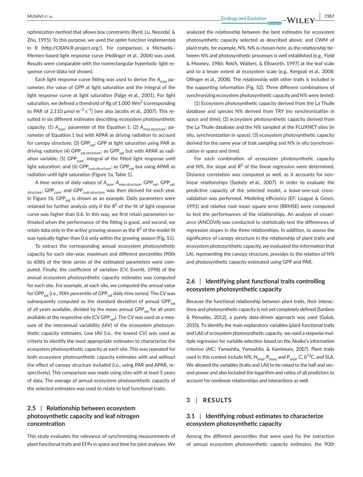**<u>MUSAVI et al.</u>** *P*  $\frac{1}{2}$  *P*  $\frac{1}{2}$  *P*  $\frac{1}{2}$  *P*  $\frac{1}{2}$  *P*  $\frac{1}{2}$  *P*  $\frac{1}{2}$  *P*  $\frac{1}{2}$  *P*  $\frac{1}{2}$  *P*  $\frac{1}{2}$  *P*  $\frac{1}{2}$  *P*  $\frac{1}{2}$  *P*  $\frac{1}{2}$  *P*  $\frac{1$ 

optimization method that allows box constraints (Byrd, Lu, Nocedal, & Zhu, 1995). To this purpose, we used the *optim* function implemented in R (<http://CRAN.R-project.org/>). For comparison, a Michaelis– Menten-based light response curve (Hollinger et al., 2004) was used. Results were comparable with the nonrectangular hyperbolic light response curve (data not shown).

Each light response curve fitting was used to derive the A<sub>max</sub> parameter, the value of GPP at light saturation and the integral of the light response curve at light saturation (Falge et al., 2001). For light saturation, we defined a threshold of Rg of 1,000  $\mathsf{Wm}^2$  (corresponding to PAR of 2,110 μmol m $^{-2}$  s $^{-1}$ ) (see also Jacobs et al., 2007). This resulted in six different estimates describing ecosystem photosynthetic capacity: (1)  $A_{\text{max}}$ : parameter of the Equation 1; (2)  $A_{\text{max.structure}}$ : parameter of Equation 1 but with APAR as driving radiation to account for canopy structure; (3)  $GPP_{cat}$ : GPP at light saturation using PAR as driving radiation (4) GPP<sub>sat.structure</sub>: as GPP<sub>sat</sub> but with APAR as radiation variable; (5) GPP<sub>cum</sub>: integral of the fitted light response until light saturation; and (6) GPP<sub>cum.structure</sub>: as GPP<sub>sat</sub> but using APAR as radiation until light saturation (Figure 1a, Table 1).

A time series of daily values of A<sub>max</sub>, A<sub>max.structure</sub>, GPP<sub>sat</sub>, GPP<sub>sat.</sub> structure, GPP<sub>cum</sub>, and GPP<sub>cum.structure</sub> was then derived for each year. In Figure 1b,  $GPP_{sat}$  is shown as an example. Daily parameters were retained for further analysis only if the  $R^2$  of the fit of light response curve was higher than 0.6. In this way, we first retain parameters estimated when the performance of the fitting is good, and second, we retain data only in the active growing season as the  $R^2$  of the model fit was typically higher than 0.6 only within the growing season (Fig. S1).

To extract the corresponding annual ecosystem photosynthetic capacity for each site-year, maximum and different percentiles (90th to 60th) of the time series of the estimated parameters were computed. Finally, the coefficient of variation (CV, Everitt, 1998) of the annual ecosystem photosynthetic capacity estimates was computed for each site. For example, at each site, we computed the annual value for GPP<sub>sat</sub> (i.e., 90th percentile of GPP<sub>sat</sub> daily time series). The CV was subsequently computed as the standard deviation of annual GPP $_{sat}$ of all years available, divided by the mean annual GPP $_{sat}$  for all years available at the respective site (CV GPP $_{sat}$ ). The CV was used as a measure of the interannual variability (IAV) of the ecosystem photosynthetic capacity estimates. Low IAV (i.e., the lowest CV) was used as criteria to identify the most appropriate estimates to characterize the ecosystem photosynthetic capacity at each site. This was repeated for both ecosystem photosynthetic capacity estimates with and without the effect of canopy structure included (i.e., using PAR and APAR, respectively). This comparison was made using sites with at least 5 years of data. The average of annual ecosystem photosynthetic capacity of the selected estimates was used to relate to leaf functional traits.

## **2.5** | **Relationship between ecosystem photosynthetic capacity and leaf nitrogen concentration**

This study evaluates the relevance of synchronizing measurements of plant functional traits and EFPs in space and time for joint analyses. We analyzed the relationship between the best estimates for ecosystem photosynthetic capacity selected as described above, and CWM of plant traits, for example, N%. N% is chosen here, as the relationship between N% and photosynthetic processes is well established (e.g., Field & Mooney, 1986; Reich, Walters, & Ellsworth, 1997) at the leaf scale and to a lesser extent at ecosystem scale (e.g., Kergoat et al., 2008; Ollinger et al., 2008). The relationship with other traits is included in the supporting information (Fig. S2). Three different combinations of synchronizing ecosystem photosynthetic capacity and N% were tested:

(1) Ecosystem photosynthetic capacity derived from the La Thuile database and species N% derived from TRY (no synchronization in space and time); (2) ecosystem photosynthetic capacity derived from the La Thuile database and the N% sampled at the FLUXNET sites (in situ, synchronization in space); (3) ecosystem photosynthetic capacity derived for the same year of trait sampling and N% in situ (synchronization in space and time).

For each combination of ecosystem photosynthetic capacity and N%, the slope and  $R^2$  of the linear regression were determined. Distance correlation was computed as well, as it accounts for nonlinear relationships (Szekely et al., 2007). In order to evaluate the predictive capacity of the selected model, a leave-one-out crossvalidation was performed. Modeling efficiency (EF; Loague & Green, 1991) and relative root mean square error (RRMSE) were computed to test the performances of the relationships. An analysis of covariance (ANCOVA) was conducted to statistically test the differences of regression slopes in the three relationships. In addition, to assess the significance of canopy structure in the relationship of plant traits and ecosystem photosynthetic capacity, we evaluated the information that LAI, representing the canopy structure, provides to the relation of N% and photosynthetic capacity estimated using GPP and PAR.

## **2.6** | **Identifying plant functional traits controlling ecosystem photosynthetic capacity**

Because the functional relationship between plant traits, their interactions and photosynthetic capacity is not yet completely defined (Sardans & Penuelas, 2012), a purely data-driven approach was used (Golub, 2010). To identify the main explanatory variables (plant functional traits and LAI) of ecosystem photosynthetic capacity, we used a stepwise multiple regression for variable selection based on the Akaike's information criterion (AIC; Yamashita, Yamashita, & Kamimura, 2007). Plant traits used in this context include N%,  $N_{area}$ ,  $P_{mass}$  and  $P_{area}$ , C,  $\delta^{13}$ C, and SLA. We allowed the variables (traits and LAI) to be raised to the half and second power and also included the logarithm and ratios of all predictors to account for nonlinear relationships and interactions as well.

#### **3** | **RESULTS**

## **3.1** | **Identifying robust estimates to characterize ecosystem photosynthetic capacity**

Among the different percentiles that were used for the extraction of annual ecosystem photosynthetic capacity estimates, the 90th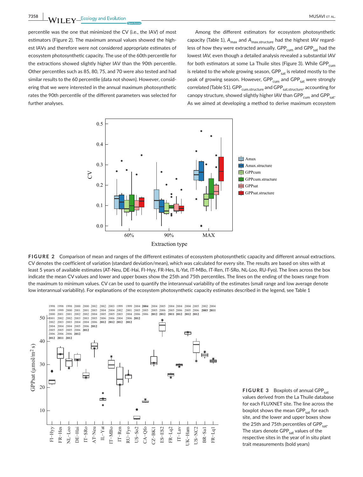**7358 WII FY** Ecology and Evolution <u>Construction Construction Constru</u>ction Construction Construction Construction Construction Construction Construction Construction Construction Construction Construction Construction Co

percentile was the one that minimized the CV (i.e., the IAV) of most estimators (Figure 2). The maximum annual values showed the highest IAVs and therefore were not considered appropriate estimates of ecosystem photosynthetic capacity. The use of the 60th percentile for the extractions showed slightly higher IAV than the 90th percentile. Other percentiles such as 85, 80, 75, and 70 were also tested and had similar results to the 60 percentile (data not shown). However, considering that we were interested in the annual maximum photosynthetic rates the 90th percentile of the different parameters was selected for further analyses.

Among the different estimators for ecosystem photosynthetic capacity (Table 1), A<sub>max</sub> and A<sub>max.structure</sub> had the highest IAV regardless of how they were extracted annually.  $GPP_{cum}$  and  $GPP_{sat}$  had the lowest IAV, even though a detailed analysis revealed a substantial IAV for both estimators at some La Thuile sites (Figure 3). While GPP $_{\text{cum}}$ is related to the whole growing season, GPP<sub>sat</sub> is related mostly to the peak of growing season. However, GPP<sub>cum</sub> and GPP<sub>sat</sub> were strongly correlated (Table S1). GPP<sub>cum.structure</sub> and GPP<sub>sat.structure</sub>, accounting for canopy structure, showed slightly higher IAV than  $\text{GPP}_{\text{cum}}$  and  $\text{GPP}_{\text{sat}}$ . As we aimed at developing a method to derive maximum ecosystem



**FIGURE 2** Comparison of mean and ranges of the different estimates of ecosystem photosynthetic capacity and different annual extractions. CV denotes the coefficient of variation (standard deviation/mean), which was calculated for every site. The results are based on sites with at least 5 years of available estimates (AT-Neu, DE-Hai, FI-Hyy, FR-Hes, IL-Yat, IT-MBo, IT-Ren, IT-SRo, NL-Loo, RU-Fyo). The lines across the box indicate the mean CV values and lower and upper boxes show the 25th and 75th percentiles. The lines on the ending of the boxes range from the maximum to minimum values. CV can be used to quantify the interannual variability of the estimates (small range and low average denote low interannual variability). For explanations of the ecosystem photosynthetic capacity estimates described in the legend, see Table 1



**FIGURE 3** Boxplots of annual GPP<sub>sat</sub> values derived from the La Thuile database for each FLUXNET site. The line across the boxplot shows the mean GPP<sub>sat</sub> for each site, and the lower and upper boxes show the 25th and 75th percentiles of  $GPP_{sat}$ . The stars denote GPP<sub>sat</sub> values of the respective sites in the year of in situ plant trait measurements (bold years)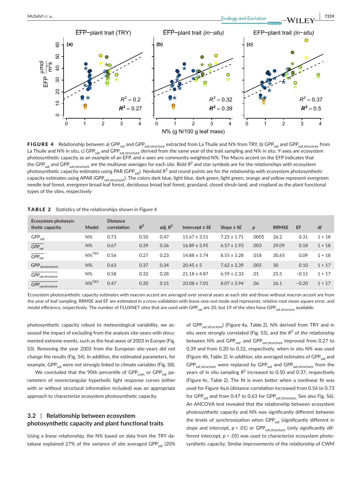

FIGURE 4 Relationship between a) GPP<sub>sat</sub> and GPP<sub>sat.structure</sub> extracted from La Thuile and N% from TRY, b) GPP<sub>sat</sub> and GPP<sub>sat.structure</sub> from La Thuile and N% in situ, c) GPP<sub>sat</sub> and GPP<sub>sat.structure</sub> derived from the same year of the trait sampling and N% in situ. Y-axes are ecosystem photosynthetic capacity as an example of an EFP, and x-axes are community weighted N%. The Macro accent on the EFP indicates that the GPP<sub>sat</sub> and GPP<sub>sat.structure</sub> are the multiyear averages for each site. Bold R<sup>2</sup> and star symbols are for the relationships with ecosystem photosynthetic capacity estimates using PAR (GPP<sub>sat</sub>). Nonbold R<sup>2</sup> and round points are for the relationship with ecosystem photosynthetic capacity estimates using APAR (GPP<sub>sat.structure</sub>). The colors dark blue, light blue, dark green, light green, orange and yellow represent evergreen needle leaf forest, evergreen broad leaf forest, deciduous broad leaf forest, grassland, closed shrub-land, and cropland as the plant functional types of the sites, respectively

| Ecosystem photosyn-<br>thetic capacity   | Model | <b>Distance</b><br>correlation | $R^2$ | adj. $R^2$ | Intercept $\pm$ SE | Slope $\pm$ SE  | $\boldsymbol{p}$ | <b>RRMSE</b> | EF      | df       |
|------------------------------------------|-------|--------------------------------|-------|------------|--------------------|-----------------|------------------|--------------|---------|----------|
| ${\sf GPP}_{\sf sat}$                    | $N\%$ | 0.73                           | 0.50  | 0.47       | $15.67 \pm 3.51$   | $7.25 \pm 1.71$ | .0005            | 26.2         | 0.31    | $1 + 18$ |
| $GPP_{sat}$                              | $N\%$ | 0.67                           | 0.39  | 0.36       | $16.89 \pm 3.95$   | $6.57 \pm 1.93$ | .003             | 29.09        | 0.18    | $1 + 18$ |
| $\overline{\mathsf{GPP}_{\mathsf{sat}}}$ | N%TRY | 0.56                           | 0.27  | 0.23       | $14.88 \pm 5.74$   | $8.55 \pm 3.28$ | .018             | 30.65        | 0.09    | $1 + 18$ |
| ${\sf GPP}_{\sf sat. structure}$         | $N\%$ | 0.63                           | 0.37  | 0.34       | $20.45 \pm 5$      | $7.62 \pm 2.39$ | .005             | 30           | 0.10    | $1 + 17$ |
| $\textsf{GPP}_{\sf sat.structure}$       | $N\%$ | 0.58                           | 0.32  | 0.28       | $21.18 \pm 4.87$   | $6.59 \pm 2.33$ | .01              | 25.5         | $-0.15$ | $1 + 17$ |
| <b>GPP</b> sat.structure                 | N%TRY | 0.47                           | 0.20  | 0.15       | $20.08 \pm 7.01$   | $8.07 \pm 3.94$ | .06              | 26.1         | $-0.20$ | $1 + 17$ |

TABLE 2 Statistics of the relationships shown in Figure 4

Ecosystem photosynthetic capacity estimates with macron accent are averaged over several years at each site and those without macron accent are from the year of leaf sampling. RRMSE and EF are estimated in a cross-validation with leave-one-out mode and represents, relative root mean square error, and model efficiency, respectively. The number of FLUXNET sites that are used with GPP<sub>sat</sub> are 20, but 19 of the sites have GPP<sub>sat.structure</sub> available.

photosynthetic capacity robust to meteorological variability, we assessed the impact of excluding from the analysis site-years with documented extreme events, such as the heat wave of 2003 in Europe (Fig. S3). Removing the year 2003 from the European site-years did not change the results (Fig. S4). In addition, the estimated parameters, for example, GPP<sub>sat</sub> were not strongly linked to climate variables (Fig. S8).

We concluded that the 90th percentile of  $GPP_{cum}$  or  $GPP_{sat}$  parameters of nonrectangular hyperbolic light response curves (either with or without structural information included) was an appropriate approach to characterize ecosystem photosynthetic capacity.

## **3.2** | **Relationship between ecosystem photosynthetic capacity and plant functional traits**

Using a linear relationship, the N% based on data from the TRY database explained 27% of the variance of site averaged GPP<sub>sat</sub> (20%) of GPP<sub>sat.structure</sub>) (Figure 4a, Table 2). N% derived from TRY and in situ were strongly correlated (Fig. S5), and the  $R^2$  of the relationship between N% and GPP $_{sat}$ , and GPP $_{sat.structure}$  improved from 0.27 to 0.39 and from 0.20 to 0.32, respectively, when in situ N% was used (Figure 4b, Table 2). In addition, site averaged estimates of GPP $_{sat}$  and  $GPP_{sat.structure}$  were replaced by  $GPP_{sat.structure}$  from the years of in situ sampling R<sup>2</sup> increased to 0.50 and 0.37, respectively (Figure 4c, Table 2). The fit is even better when a nonlinear fit was used for Figure 4a,b (distance correlation increased from 0.56 to 0.73 for GPP<sub>sat</sub> and from 0.47 to 0.63 for GPP<sub>sat.structure,</sub> See also Fig. S6). An ANCOVA test revealed that the relationship between ecosystem photosynthetic capacity and N% was significantly different between the levels of synchronization when  $\mathsf{GPP}_{\mathsf{sat}}$  (significantly different in slope and intercept,  $p < .01$ ) or GPP<sub>sat.structure</sub> (only significantly different intercept, *p* < .05) was used to characterize ecosystem photosynthetic capacity. Similar improvements of the relationship of CWM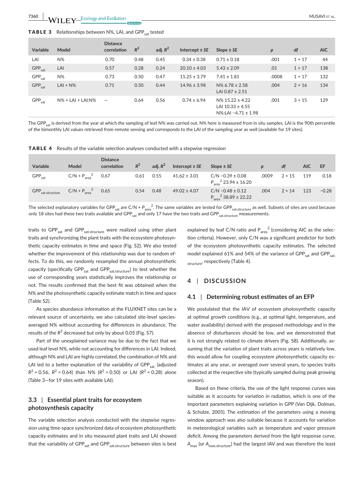**7360 |**  MUSAVI et al.

| <b>TABLE 3</b> Relationships between N%, LAI, and GPP <sub>sat</sub> tested |  |
|-----------------------------------------------------------------------------|--|
|-----------------------------------------------------------------------------|--|

| <b>Variable</b>       | Model                | <b>Distance</b><br>correlation  | $R^2$ | adj. $R^2$ | Intercept $\pm$ SE | Slope $\pm$ SE                                                            | $\boldsymbol{p}$ | df       | <b>AIC</b> |
|-----------------------|----------------------|---------------------------------|-------|------------|--------------------|---------------------------------------------------------------------------|------------------|----------|------------|
| LAI                   | $N\%$                | 0.70                            | 0.48  | 0.45       | $0.34 \pm 0.38$    | $0.71 \pm 0.18$                                                           | .001             | $1 + 17$ | 44         |
| $GPP_{sat}$           | LAI                  | 0.57                            | 0.28  | 0.24       | $20.10 \pm 4.03$   | $5.43 \pm 2.09$                                                           | .01              | $1 + 17$ | 138        |
| ${\sf GPP}_{\sf sat}$ | $N\%$                | 0.73                            | 0.50  | 0.47       | $15.25 \pm 3.79$   | $7.41 \pm 1.81$                                                           | .0008            | $1 + 17$ | 132        |
| $GPP_{sat}$           | $LAI + N\%$          | 0.71                            | 0.50  | 0.44       | $14.96 \pm 3.98$   | $N\%$ 6.78 ± 2.58<br>LAI 0.87 $\pm$ 2.51                                  | .004             | $2 + 16$ | 134        |
| GPP <sub>sat</sub>    | $N\%$ + LAI + LAI:N% | $\overbrace{\phantom{1232211}}$ | 0.64  | 0.56       | $0.74 \pm 6.94$    | $N\%$ 15.22 ± 4.22<br>LAI $10.33 \pm 4.55$<br>$N\%$ :LAI -4.71 $\pm$ 1.98 | .001             | $3 + 15$ | 129        |

The GPP<sub>sat</sub> is derived from the year at which the sampling of leaf N% was carried out. N% here is measured from in situ samples. LAI is the 90th percentile of the bimonthly LAI values retrieved from remote sensing and corresponds to the LAI of the sampling year as well (available for 19 sites).

**TABLE 4** Results of the variable selection analyses conducted with a stepwise regression

| <b>Variable</b>              | Model          | <b>Distance</b><br>correlation | $R^2$ | adi. $R^2$ | Intercept $\pm$ SE | Slope $\pm$ SE                                      | $\boldsymbol{D}$ | df       | AIC. | EF      |
|------------------------------|----------------|--------------------------------|-------|------------|--------------------|-----------------------------------------------------|------------------|----------|------|---------|
| $GPP_{sat}$                  | $C/N + Parea2$ | 0.67                           | 0.61  | 0.55       | $41.62 \pm 3.01$   | $C/N - 0.39 \pm 0.08$<br>$P_{area}^2$ 23.94 ± 16.20 | .0009            | $2 + 15$ | 119  | 0.18    |
| GPP <sub>sat.structure</sub> | $C/N + Parea2$ | 0.65                           | 0.54  | 0.48       | $49.02 \pm 4.07$   | $C/N - 0.48 \pm 0.12$<br>$P_{area}^2$ 38.89 ± 22.22 | .004             | $2 + 14$ | 123  | $-0.28$ |

The selected explanatory variables for GPP $_{\sf sat}$  are C/N + P $_{\sf area}^2$ . The same variables are tested for GPP $_{\sf sat. structure}$  as well. Subsets of sites are used because only 18 sites had these two traits available and GPP<sub>sat</sub> and only 17 have the two traits and GPP<sub>sat.structure</sub> measurements.

traits to GPP<sub>sat</sub> and GPP<sub>sat.structure</sub> were realized using other plant traits and synchronizing the plant traits with the ecosystem photosynthetic capacity estimates in time and space (Fig. S2). We also tested whether the improvement of this relationship was due to random effects. To do this, we randomly resampled the annual photosynthetic capacity (specifically GPP $_{\rm sat}$  and GPP $_{\rm sat.structure}$ ) to test whether the use of corresponding years statistically improves the relationship or not. The results confirmed that the best fit was obtained when the N% and the photosynthetic capacity estimate match in time and space (Table S2).

As species abundance information at the FLUXNET sites can be a relevant source of uncertainty, we also calculated site-level speciesaveraged N% without accounting for differences in abundance. The results of the  $R^2$  decreased but only by about 0.05 (Fig. S7).

Part of the unexplained variance may be due to the fact that we used leaf level N%, while not accounting for differences in LAI. Indeed, although N% and LAI are highly correlated, the combination of N% and LAI led to a better explanation of the variability of GPP $_{sat}$  (adjusted  $R^2$  = 0.56,  $R^2$  = 0.64) than N% ( $R^2$  = 0.50) or LAI ( $R^2$  = 0.28) alone (Table 3—for 19 sites with available LAI).

## **3.3** | **Essential plant traits for ecosystem photosynthesis capacity**

The variable selection analysis conducted with the stepwise regression using time-space synchronized data of ecosystem photosynthetic capacity estimates and in situ measured plant traits and LAI showed that the variability of  $GPP_{sat}$  and  $GPP_{sat.structure}$  between sites is best explained by leaf C/N ratio and  $P_{area}^2$  (considering AIC as the selection criteria). However, only C/N was a significant predictor for both of the ecosystem photosynthetic capacity estimates. The selected model explained 61% and 54% of the variance of GPP<sub>sat</sub> and GPP<sub>sat</sub>. structure, respectively (Table 4).

#### **4** | **DISCUSSION**

#### **4.1** | **Determining robust estimates of an EFP**

We postulated that the IAV of ecosystem photosynthetic capacity at optimal growth conditions (e.g., at optimal light, temperature, and water availability) derived with the proposed methodology and in the absence of disturbances should be low, and we demonstrated that it is not strongly related to climate drivers (Fig. S8). Additionally, assuming that the variation of plant traits across years is relatively low, this would allow for coupling ecosystem photosynthetic capacity estimates at any year, or averaged over several years, to species traits collected at the respective site (typically sampled during peak growing season).

Based on these criteria, the use of the light response curves was suitable as it accounts for variation in radiation, which is one of the important parameters explaining variation in GPP (Van Dijk, Dolman, & Schulze, 2005). The estimation of the parameters using a moving window approach was also suitable because it accounts for variation in meteorological variables such as temperature and vapor pressure deficit. Among the parameters derived from the light response curve, *A<sub>max</sub>* (or *A<sub>max structure</sub>*) had the largest IAV and was therefore the least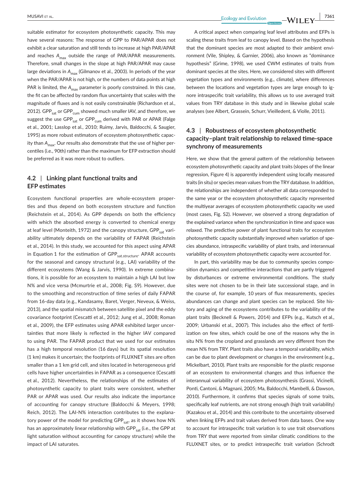suitable estimator for ecosystem photosynthetic capacity. This may have several reasons: The response of GPP to PAR/APAR does not exhibit a clear saturation and still tends to increase at high PAR/APAR and reaches A<sub>max</sub> outside the range of PAR/APAR measurements. Therefore, small changes in the slope at high PAR/APAR may cause large deviations in A<sub>max</sub> (Gilmanov et al., 2003). In periods of the year when the PAR/APAR is not high, or the numbers of data points at high PAR is limited, the A<sub>max</sub> parameter is poorly constrained. In this case, the fit can be affected by random flux uncertainty that scales with the magnitude of fluxes and is not easily constrainable (Richardson et al., 2012). GPP<sub>sat</sub> or GPP<sub>cum</sub> showed much smaller IAV, and therefore, we suggest the use  $GPP_{sat}$  or  $GPP_{cum}$  derived with PAR or APAR (Falge et al., 2001; Lasslop et al., 2010; Ruimy, Jarvis, Baldocchi, & Saugier, 1995) as more robust estimators of ecosystem photosynthetic capacity than A<sub>max</sub>. Our results also demonstrate that the use of higher percentiles (i.e., 90th) rather than the maximum for EFP extraction should be preferred as it was more robust to outliers.

#### **4.2** | **Linking plant functional traits and EFP estimates**

Ecosystem functional properties are whole-ecosystem properties and thus depend on both ecosystem structure and function (Reichstein et al., 2014). As GPP depends on both the efficiency with which the absorbed energy is converted to chemical energy at leaf level (Monteith, 1972) and the canopy structure, GPP<sub>cat</sub> variability ultimately depends on the variability of FAPAR (Reichstein et al., 2014). In this study, we accounted for this aspect using APAR in Equation 1 for the estimation of  $GPP_{sat.structure}$ . APAR accounts for the seasonal and canopy structural (e.g., LAI) variability of the different ecosystems (Wang & Jarvis, 1990). In extreme combinations, it is possible for an ecosystem to maintain a high LAI but low N% and vice versa (Mcmurtrie et al., 2008; Fig. S9). However, due to the smoothing and reconstruction of time series of daily FAPAR from 16-day data (e.g., Kandasamy, Baret, Verger, Neveux, & Weiss, 2013), and the spatial mismatch between satellite pixel and the eddy covariance footprint (Cescatti et al., 2012; Jung et al., 2008; Roman et al., 2009), the EFP estimates using APAR exhibited larger uncertainties that more likely is reflected in the higher IAV compared to using PAR. The FAPAR product that we used for our estimates has a high temporal resolution (16 days) but its spatial resolution (1 km) makes it uncertain; the footprints of FLUXNET sites are often smaller than a 1 km grid cell, and sites located in heterogeneous grid cells have higher uncertainties in FAPAR as a consequence (Cescatti et al., 2012). Nevertheless, the relationships of the estimates of photosynthetic capacity to plant traits were consistent, whether PAR or APAR was used. Our results also indicate the importance of accounting for canopy structure (Baldocchi & Meyers, 1998; Reich, 2012). The LAI-N% interaction contributes to the explanatory power of the model for predicting GPP $_{est}$ , as it shows how N% has an approximately linear relationship with GPP $_{est}$  (i.e., the GPP at light saturation without accounting for canopy structure) while the impact of LAI saturates.

 **<u>MUSAVI et al.</u>** *1***361 and the set of the set of the set of the set of the set of the set of the set of the set of the set of the set of the set of the set of the set of the set of the set of the set of the set of the** 

A critical aspect when comparing leaf level attributes and EFPs is scaling these traits from leaf to canopy level. Based on the hypothesis that the dominant species are most adapted to their ambient environment (Vile, Shipley, & Garnier, 2006), also known as "dominance hypothesis" (Grime, 1998), we used CWM estimates of traits from dominant species at the sites. Here, we considered sites with different vegetation types and environments (e.g., climate), where differences between the locations and vegetation types are large enough to ignore intraspecific trait variability, this allows us to use averaged trait values from TRY database in this study and in likewise global scale analyses (see Albert, Grassein, Schurr, Vieilledent, & Violle, 2011).

## **4.3** | **Robustness of ecosystem photosynthetic capacity–plant trait relationship to relaxed time-space synchrony of measurements**

Here, we show that the general pattern of the relationship between ecosystem photosynthetic capacity and plant traits (slopes of the linear regression, Figure 4) is apparently independent using locally measured traits (in situ) or species mean values from the TRY database. In addition, the relationships are independent of whether all data corresponded to the same year or the ecosystem photosynthetic capacity represented the multiyear averages of ecosystem photosynthetic capacity we used (most cases, Fig. S2). However, we observed a strong degradation of the explained variance when the synchronization in time and space was relaxed. The predictive power of plant functional traits for ecosystem photosynthetic capacity substantially improved when variation of species abundance, intraspecific variability of plant traits, and interannual variability of ecosystem photosynthetic capacity were accounted for.

In part, this variability may be due to community species composition dynamics and competitive interactions that are partly triggered by disturbances or extreme environmental conditions. The study sites were not chosen to be in their late successional stage, and in the course of, for example, 10 years of flux measurements, species abundances can change and plant species can be replaced. Site history and aging of the ecosystems contributes to the variability of the plant traits (Becknell & Powers, 2014) and EFPs (e.g., Kutsch et al., 2009; Urbanski et al., 2007). This includes also the effect of fertilization on few sites, which could be one of the reasons why the in situ N% from the cropland and grasslands are very different from the mean N% from TRY. Plant traits also have a temporal variability, which can be due to plant development or changes in the environment (e.g., Mickelbart, 2010). Plant traits are responsible for the plastic response of an ecosystem to environmental changes and thus influence the interannual variability of ecosystem photosynthesis (Grassi, Vicinelli, Ponti, Cantoni, & Magnani, 2005; Ma, Baldocchi, Mambelli, & Dawson, 2010). Furthermore, it confirms that species signals of some traits, specifically leaf nutrients, are not strong enough (high trait variability) (Kazakou et al., 2014) and this contribute to the uncertainty observed when linking EFPs and trait values derived from data bases. One way to account for intraspecific trait variation is to use trait observations from TRY that were reported from similar climatic conditions to the FLUXNET sites, or to predict intraspecific trait variation (Schrodt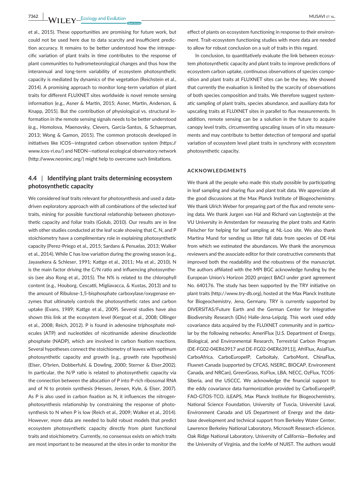**7362 WII FY** Ecology and Evolution **and Experiment Construction** MUSAVI ET AL.

et al., 2015). These opportunities are promising for future work, but could not be used here due to data scarcity and insufficient prediction accuracy. It remains to be better understood how the intraspecific variation of plant traits in time contributes to the response of plant communities to hydrometeorological changes and thus how the interannual and long-term variability of ecosystem photosynthetic capacity is mediated by dynamics of the vegetation (Reichstein et al., 2014). A promising approach to monitor long-term variation of plant traits for different FLUXNET sites worldwide is novel remote sensing information (e.g., Asner & Martin, 2015; Asner, Martin, Anderson, & Knapp, 2015). But the contribution of physiological vs. structural information in the remote sensing signals needs to be better understood (e.g., Homolova, Maenovsky, Clevers, Garcia-Santos, & Schaeprnan, 2013; Wong & Gamon, 2015). The common protocols developed in initiatives like ICOS—integrated carbon observation system [\(https://](https://www.icos-ri.eu/) [www.icos-ri.eu/\)](https://www.icos-ri.eu/) and NEON—national ecological observatory network ([http://www.neoninc.org/\)](http://www.neoninc.org/) might help to overcome such limitations.

### **4.4** | **Identifying plant traits determining ecosystem photosynthetic capacity**

We considered leaf traits relevant for photosynthesis and used a datadriven exploratory approach with all combinations of the selected leaf traits, mining for possible functional relationship between photosynthetic capacity and foliar traits (Golub, 2010). Our results are in line with other studies conducted at the leaf scale showing that C, N, and P stoichiometry have a complimentary role in explaining photosynthetic capacity (Perez-Priego et al., 2015; Sardans & Penuelas, 2013; Walker et al., 2014). While C has low variation during the growing season (e.g., Jayasekera & Schleser, 1991; Kattge et al., 2011; Ma et al., 2010), N is the main factor driving the C/N ratio and influencing photosynthesis (see also Rong et al., 2015). The N% is related to the chlorophyll content (e.g., Houborg, Cescatti, Migliavacca, & Kustas, 2013) and to the amount of Ribulose-1,5-bisphosphate carboxylase/oxygenase enzymes that ultimately controls the photosynthetic rates and carbon uptake (Evans, 1989; Kattge et al., 2009). Several studies have also shown this link at the ecosystem level (Kergoat et al., 2008; Ollinger et al., 2008; Reich, 2012). P is found in adenosine triphosphate molecules (ATP) and nucleotides of nicotinamide adenine dinucleotide phosphate (NADP), which are involved in carbon fixation reactions. Several hypotheses connect the stoichiometry of leaves with optimum photosynthetic capacity and growth (e.g., growth rate hypothesis) (Elser, O'brien, Dobberfuhl, & Dowling, 2000; Sterner & Elser,2002). In particular, the N/P ratio is related to photosynthetic capacity via the connection between the allocation of P into P-rich ribosomal RNA and of N to protein synthesis (Hessen, Jensen, Kyle, & Elser, 2007). As P is also used in carbon fixation as N, it influences the nitrogenphotosynthesis relationship by constraining the response of photosynthesis to N when P is low (Reich et al., 2009; Walker et al., 2014). However, more data are needed to build robust models that predict ecosystem photosynthetic capacity directly from plant functional traits and stoichiometry. Currently, no consensus exists on which traits are most important to be measured at the sites in order to monitor the

effect of plants on ecosystem functioning in response to their environment. Trait-ecosystem functioning studies with more data are needed to allow for robust conclusion on a suit of traits in this regard.

In conclusion, to quantitatively evaluate the link between ecosystem photosynthetic capacity and plant traits to improve predictions of ecosystem carbon uptake, continuous observations of species composition and plant traits at FLUXNET sites can be the key. We showed that currently the evaluation is limited by the scarcity of observations of both species composition and traits. We therefore suggest systematic sampling of plant traits, species abundance, and auxiliary data for upscaling traits at FLUXNET sites in parallel to flux measurements. In addition, remote sensing can be a solution in the future to acquire canopy level traits, circumventing upscaling issues of in situ measurements and may contribute to better detection of temporal and spatial variation of ecosystem level plant traits in synchrony with ecosystem photosynthetic capacity.

#### **ACKNOWLEDGMENTS**

We thank all the people who made this study possible by participating in leaf sampling and sharing flux and plant trait data. We appreciate all the good discussions at the Max Planck Institute of Biogeochemistry. We thank Ulrich Weber for preparing part of the flux and remote sensing data. We thank Jurgen van Hal and Richard van Logtesteijn at the VU University in Amsterdam for measuring the plant traits and Katrin Fleischer for helping for leaf sampling at NL-Loo site. We also thank Martina Mund for sending us litter fall data from species of DE-Hai from which we estimated the abundances. We thank the anonymous reviewers and the associate editor for their constructive comments that improved both the readability and the robustness of the manuscript. The authors affiliated with the MPI BGC acknowledge funding by the European Union's Horizon 2020 project BACI under grant agreement No. 640176. The study has been supported by the TRY initiative on plant traits [\(http://www.try-db.org\)](http://www.try-db.org), hosted at the Max Planck Institute for Biogeochemistry, Jena, Germany. TRY is currently supported by DIVERSITAS/Future Earth and the German Center for Integrative Biodiversity Research (iDiv) Halle-Jena-Leipzig. This work used eddy covariance data acquired by the FLUXNET community and in particular by the following networks: AmeriFlux [U.S. Department of Energy, Biological, and Environmental Research, Terrestrial Carbon Program (DE-FG02-04ER63917 and DE-FG02-04ER63911)], AfriFlux, AsiaFlux, CarboAfrica, CarboEuropeIP, CarboItaly, CarboMont, ChinaFlux, Fluxnet-Canada (supported by CFCAS, NSERC, BIOCAP, Environment Canada, and NRCan), GreenGrass, KoFlux, LBA, NECC, OzFlux, TCOS-Siberia, and the USCCC. We acknowledge the financial support to the eddy covariance data harmonization provided by CarboEuropeIP, FAO-GTOS-TCO, iLEAPS, Max Planck Institute for Biogeochemistry, National Science Foundation, University of Tuscia, Université Laval, Environment Canada and US Department of Energy and the database development and technical support from Berkeley Water Center, Lawrence Berkeley National Laboratory, Microsoft Research eScience, Oak Ridge National Laboratory, University of California—Berkeley and the University of Virginia, and the IceMe of NUIST. The authors would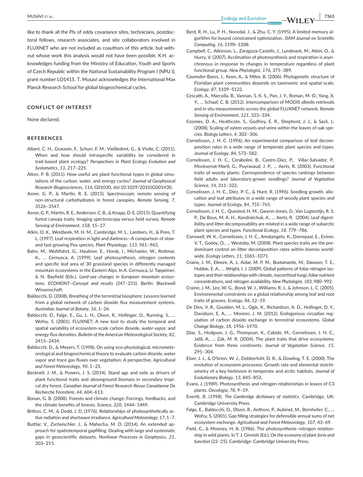like to thank all the PIs of eddy covariance sites, technicians, postdoctoral fellows, research associates, and site collaborators involved in FLUXNET who are not included as coauthors of this article, but without whose work this analysis would not have been possible. K.H. acknowledges funding from the Ministry of Education, Youth and Sports of Czech Republic within the National Sustainability Program I (NPU I), grant number LO1415. T. Musavi acknowledges the International Max Planck Research School for global biogeochemical cycles.

#### **CONFLICT OF INTEREST**

None declared.

#### **REFERENCES**

- Albert, C. H., Grassein, F., Schurr, F. M., Vieilledent, G., & Violle, C. (2011). When and how should intraspecific variability be considered in trait-based plant ecology? *Perspectives in Plant Ecology Evolution and Systematics*, *13*, 217–225.
- Alton, P. B. (2011). How useful are plant functional types in global simulations of the carbon, water, and energy cycles? *Journal of Geophysical Research-Biogeosciences*, *116*, G01030, doi:[10.1029/2010JG001430](http://dx.doi.org/10.1029/2010JG001430).
- Asner, G. P., & Martin, R. E. (2015). Spectroscopic remote sensing of non-structural carbohydrates in forest canopies. *Remote Sensing*, *7*, 3526–3547.
- Asner, G. P., Martin, R. E., Anderson, C. B., & Knapp, D. E. (2015). Quantifying forest canopy traits: Imaging spectroscopy versus field survey. *Remote Sensing of Environment*, *158*, 15–27.
- Atkin, O. K., Westbeek, M. H. M., Cambridge, M. L., Lambers, H., & Pons, T. L. (1997). Leaf respiration in light and darkness—A comparison of slowand fast-growing Poa species. *Plant Physiology*, *113*, 961–965.
- Bahn, M., Wohlfahrt, G., Haubner, E., Horak, I., Michaeler, W., Rottmar, K., … Cernusca, A. (1999). Leaf photosynthesis, nitrogen contents and specific leaf area of 30 grassland species in differently managed mountain ecosystems in the Eastern Alps. In A. Cernusca, U. Tappeiner, & N. Bayfield (Eds.), *Land-use changes in European mountain ecosystems. ECOMONT—Concept and results* (247–255). Berlin: Blackwell Wissenschaft.
- Baldocchi, D. (2008). Breathing of the terrestrial biosphere: Lessons learned from a global network of carbon dioxide flux measurement systems. *Australian Journal of Botany*, *56*, 1–26.
- Baldocchi, D., Falge, E., Gu, L. H., Olson, R., Hollinger, D., Running, S., … Wofsy, S. (2001). FLUXNET: A new tool to study the temporal and spatial variability of ecosystem-scale carbon dioxide, water vapor, and energy flux densities. *Bulletin of the American Meteorological Society*, *82*, 2415–2434.
- Baldocchi, D., & Meyers, T. (1998). On using eco-physiological, micrometeorological and biogeochemical theory to evaluate carbon dioxide, water vapor and trace gas fluxes over vegetation: A perspective. *Agricultural and Forest Meteorology*, *90*, 1–25.
- Becknell, J. M., & Powers, J. S. (2014). Stand age and soils as drivers of plant functional traits and aboveground biomass in secondary tropical dry forest. *Canadian Journal of Forest Research-Revue Canadienne De Recherche Forestiere*, *44*, 604–613.
- Bonan, G. B. (2008). Forests and climate change: Forcings, feedbacks, and the climate benefits of forests. *Science*, *320*, 1444–1449.
- Britton, C. M., & Dodd, J. D. (1976). Relationships of photosynthetically active radiation and shortwave irradiance. *Agricultural Meteorology*, *17*, 1–7.
- Buttlar, V., Zscheischler, J., & Mahecha, M. D. (2014). An extended approach for spatiotemporal gapfilling: Dealing with large and systematic gaps in geoscientific datasets. *Nonlinear Processes in Geophysics*, *21*, 203–215.
- Byrd, R. H., Lu, P. H., Nocedal, J., & Zhu, C. Y. (1995). A limited memory algorithm for bound constrained optimization. *SIAM Journal on Scientific Computing*, *16*, 1190–1208.
- Campbell, C., Atkinson, L., Zaragoza-Castells, J., Lundmark, M., Atkin, O., & Hurry, V. (2007). Acclimation of photosynthesis and respiration is asynchronous in response to changes in temperature regardless of plant functional group. *New Phytologist*, *176*, 375–389.
- Cavender-Bares, J., Keen, A., & Miles, B. (2006). Phylogenetic structure of Floridian plant communities depends on taxonomic and spatial scale. *Ecology*, *87*, S109–S122.
- Cescatti, A., Marcolla, B., Vannan, S. K. S., Pan, J. Y., Roman, M. O., Yang, X. Y., … Schaaf, C. B. (2012). Intercomparison of MODIS albedo retrievals and in situ measurements across the global FLUXNET network. *Remote Sensing of Environment*, *121*, 323–334.
- Coomes, D. A., Heathcote, S., Godfrey, E. R., Shepherd, J. J., & Sack, L. (2008). Scaling of xylem vessels and veins within the leaves of oak species. *Biology Letters*, *4*, 302–306.
- Cornelissen, J. H. C. (1996). An experimental comparison of leaf decomposition rates in a wide range of temperate plant species and types. *Journal of Ecology*, *84*, 573–582.
- Cornelissen, J. H. C., Cerabolini, B., Castro-Diez, P., Villar-Salvador, P., Montserrat-Marti, G., Puyravaud, J. P., … Aerts, R. (2003). Functional traits of woody plants: Correspondence of species rankings between field adults and laboratory-grown seedlings? *Journal of Vegetation Science*, *14*, 311–322.
- Cornelissen, J. H. C., Diez, P. C., & Hunt, R. (1996). Seedling growth, allocation and leaf attributes in a wide range of woody plant species and types. *Journal of Ecology*, *84*, 755–765.
- Cornelissen, J. H. C., Quested, H. M., Gwynn-Jones, D., Van Logtestijn, R. S. P., De Beus, M. A. H., Kondratchuk, A., … Aerts, R. (2004). Leaf digestibility and litter decomposability are related in a wide range of subarctic plant species and types. *Functional Ecology*, *18*, 779–786.
- Cornwell, W. K., Cornelissen, J. H. C., Amatangelo, K., Dorrepaal, E., Eviner, V. T., Godoy, O., … Westoby, M. (2008). Plant species traits are the predominant control on litter decomposition rates within biomes worldwide. *Ecology Letters*, *11*, 1065–1071.
- Craine, J. M., Elmore, A. J., Aidar, M. P. M., Bustamante, M., Dawson, T. E., Hobbie, E. A., … Wright, I. J. (2009). Global patterns of foliar nitrogen isotopes and their relationships with climate, mycorrhizal fungi, foliar nutrient concentrations, and nitrogen availability. *New Phytologist*, *183*, 980–992.
- Craine, J. M., Lee, W. G., Bond, W. J., Williams, R. J., & Johnson, L. C. (2005). Environmental constraints on a global relationship among leaf and root traits of grasses. *Ecology*, *86*, 12–19.
- De Dios, V. R., Goulden, M. L., Ogle, K., Richardson, A. D., Hollinger, D. Y., Davidson, E. A., … Moreno, J. M. (2012). Endogenous circadian regulation of carbon dioxide exchange in terrestrial ecosystems. *Global Change Biology*, *18*, 1956–1970.
- Diaz, S., Hodgson, J. G., Thompson, K., Cabido, M., Cornelissen, J. H. C., Jalili, A., … Zak, M. R. (2004). The plant traits that drive ecosystems: Evidence from three continents. *Journal of Vegetation Science*, *15*, 295–304.
- Elser, J. J., & O'brien, W. J., Dobberfuhl, D. R., & Dowling, T. E. (2000). The evolution of ecosystem processes: Growth rate and elemental stoichiometry of a key herbivore in temperate and arctic habitats. *Journal of Evolutionary Biology*, *13*, 845–853.
- Evans, J. (1989). Photosynthesis and nitrogen relationships in leaves of C3 plants. *Oecologia*, *78*, 9–19.
- Everitt, B. (1998). *The Cambridge dictionary of statistics*. Cambridge, UK: Cambridge University Press.
- Falge, E., Baldocchi, D., Olson, R., Anthoni, P., Aubinet, M., Bernhofer, C., … Wofsy, S. (2001). Gap filling strategies for defensible annual sums of net ecosystem exchange. *Agricultural and Forest Meteorology*, *107*, 43–69.
- Field, C., & Mooney, H. A. (1986). The photosynthesis–nitrogen relationship in wild plants. In T. J. Givnish (Ed.), *On the economy of plant form and function* (22–25). Cambridge: Cambridge University Press.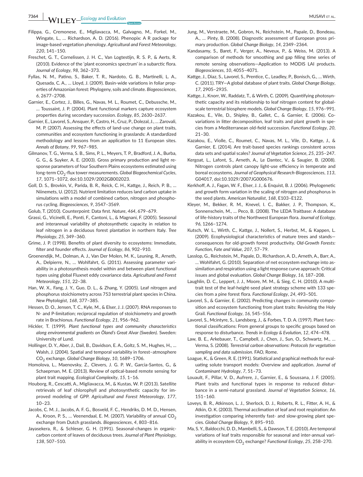- Filippa, G., Cremonese, E., Migliavacca, M., Galvagno, M., Forkel, M., Wingate, L., … Richardson, A. D. (2016). Phenopix: A R package for image-based vegetation phenology. *Agricultural and Forest Meteorology*, *220*, 141–150.
- Freschet, G. T., Cornelissen, J. H. C., Van Logtestijn, R. S. P., & Aerts, R. (2010). Evidence of the 'plant economics spectrum' in a subarctic flora. *Journal of Ecology*, *98*, 362–373.
- Fyllas, N. M., Patino, S., Baker, T. R., Nardoto, G. B., Martinelli, L. A., Quesada, C. A., … Lloyd, J. (2009). Basin-wide variations in foliar properties of Amazonian forest: Phylogeny, soils and climate. *Biogeosciences*, *6*, 2677–2708.
- Garnier, E., Cortez, J., Billes, G., Navas, M. L., Roumet, C., Debussche, M., … Toussaint, J. P. (2004). Plant functional markers capture ecosystem properties during secondary succession. *Ecology*, *85*, 2630–2637.
- Garnier, E., Lavorel, S., Ansquer, P., Castro, H., Cruz, P., Dolezal, J., … Zarovali, M. P. (2007). Assessing the effects of land-use change on plant traits, communities and ecosystem functioning in grasslands: A standardized methodology and lessons from an application to 11 European sites. *Annals of Botany*, *99*, 967–985.
- Gilmanov, T. G., Verma, S. B., Sims, P. L., Meyers, T. P., Bradford, J. A., Burba, G. G., & Suyker, A. E. (2003). Gross primary production and light response parameters of four Southern Plains ecosystems estimated using long-term CO<sub>2</sub>-flux tower measurements. Global Biogeochemical Cycles, *17*, 1071–1072, doi:[10.1029/2002GB002023.](http://dx.doi.org/10.1029/2002GB002023)
- Goll, D. S., Brovkin, V., Parida, B. R., Reick, C. H., Kattge, J., Reich, P. B., … Niinemets, U. (2012). Nutrient limitation reduces land carbon uptake in simulations with a model of combined carbon, nitrogen and phosphorus cycling. *Biogeosciences*, *9*, 3547–3569.
- Golub, T. (2010). Counterpoint: Data first. *Nature*, *464*, 679–679.
- Grassi, G., Vicinelli, E., Ponti, F., Cantoni, L., & Magnani, F. (2005). Seasonal and interannual variability of photosynthetic capacity in relation to leaf nitrogen in a deciduous forest plantation in northern Italy. *Tree Physiology*, *25*, 349–360.
- Grime, J. P. (1998). Benefits of plant diversity to ecosystems: Immediate, filter and founder effects. *Journal of Ecology*, *86*, 902–910.
- Groenendijk, M., Dolman, A. J., Van Der Molen, M. K., Leuning, R., Arneth, A., Delpierre, N., … Wohlfahrt, G. (2011). Assessing parameter variability in a photosynthesis model within and between plant functional types using global Fluxnet eddy covariance data. *Agricultural and Forest Meteorology*, *151*, 22–38.
- Han, W. X., Fang, J. Y., Guo, D. L., & Zhang, Y. (2005). Leaf nitrogen and phosphorus stoichiometry across 753 terrestrial plant species in China. *New Phytologist*, *168*, 377–385.
- Hessen, D. O., Jensen, T. C., Kyle, M., & Elser, J. J. (2007). RNA responses to N- and P-limitation; reciprocal regulation of stoichiometry and growth rate in Brachionus. *Functional Ecology*, *21*, 956–962.
- Hickler, T. (1999). *Plant functional types and community characteristics along environmental gradients on Öland's Great Alvar (Sweden)*. Sweden: University of Lund.
- Hollinger, D. Y., Aber, J., Dail, B., Davidson, E. A., Goltz, S. M., Hughes, H., … Walsh, J. (2004). Spatial and temporal variability in forest–atmosphere CO2 exchange. *Global Change Biology*, *10*, 1689–1706.
- Homolova, L., Maenovsky, Z., Clevers, J. G. P. W., Garcia-Santos, G., & Schaeprnan, M. E. (2013). Review of optical-based remote sensing for plant trait mapping. *Ecological Complexity*, *15*, 1–16.
- Houborg, R., Cescatti, A., Migliavacca, M., & Kustas, W. P. (2013). Satellite retrievals of leaf chlorophyll and photosynthetic capacity for improved modeling of GPP. *Agricultural and Forest Meteorology*, *177*, 10–23.
- Jacobs, C. M. J., Jacobs, A. F. G., Bosveld, F. C., Hendriks, D. M. D., Hensen, A., Kroon, P. S., ... Veenendaal, E. M. (2007). Variability of annual  $CO<sub>2</sub>$ exchange from Dutch grasslands. *Biogeosciences*, *4*, 803–816.
- Jayasekera, R., & Schleser, G. H. (1991). Seasonal-changes in organiccarbon content of leaves of deciduous trees. *Journal of Plant Physiology*, *138*, 507–510.
- Jung, M., Verstraete, M., Gobron, N., Reichstein, M., Papale, D., Bondeau, A., … Pinty, B. (2008). Diagnostic assessment of European gross primary production. *Global Change Biology*, *14*, 2349–2364.
- Kandasamy, S., Baret, F., Verger, A., Neveux, P., & Weiss, M. (2013). A comparison of methods for smoothing and gap filling time series of remote sensing observations—Application to MODIS LAI products. *Biogeosciences*, *10*, 4055–4071.
- Kattge, J., Diaz, S., Lavorel, S., Prentice, C., Leadley, P., Bonisch, G., … Wirth, C. (2011). TRY—A global database of plant traits. *Global Change Biology*, *17*, 2905–2935.
- Kattge, J., Knorr, W., Raddatz, T., & Wirth, C. (2009). Quantifying photosynthetic capacity and its relationship to leaf nitrogen content for globalscale terrestrial biosphere models. *Global Change Biology*, *15*, 976–991.
- Kazakou, E., Vile, D., Shipley, B., Gallet, C., & Garnier, E. (2006). Covariations in litter decomposition, leaf traits and plant growth in species from a Mediterranean old-field succession. *Functional Ecology*, *20*, 21–30.
- Kazakou, E., Violle, C., Roumet, C., Navas, M. L., Vile, D., Kattge, J., & Garnier, E. (2014). Are trait-based species rankings consistent across data sets and spatial scales? *Journal of Vegetation Science*, *25*, 235–247.
- Kergoat, L., Lafont, S., Arneth, A., Le Dantec, V., & Saugier, B. (2008). Nitrogen controls plant canopy light-use efficiency in temperate and boreal ecosystems. *Journal of Geophysical Research-Biogeosciences*, *113*, G04017, doi[:10.1029/2007JG000676.](http://dx.doi.org/10.1029/2007JG000676)
- Kerkhoff, A. J., Fagan, W. F., Elser, J. J., & Enquist, B. J. (2006). Phylogenetic and growth form variation in the scaling of nitrogen and phosphorus in the seed plants. *American Naturalist*, *168*, E103–E122.
- Kleyer, M., Bekker, R. M., Knevel, I. C., Bakker, J. P., Thompson, K., Sonnenschein, M., … Peco, B. (2008). The LEDA Traitbase: A database of life-history traits of the Northwest European flora. *Journal of Ecology*, *96*, 1266–1274.
- Kutsch, W. L., Wirth, C., Kattge, J., Nollert, S., Herbst, M., & Kappen, L. (2009). Ecophysiological characteristics of mature trees and stands consequences for old-growth forest productivity. *Old-Growth Forests: Function, Fate and Value*, *207*, 57–79.
- Lasslop, G., Reichstein, M., Papale, D., Richardson, A. D., Arneth, A., Barr, A., … Wohlfahrt, G. (2010). Separation of net ecosystem exchange into assimilation and respiration using a light response curve approach: Critical issues and global evaluation. *Global Change Biology*, *16*, 187–208.
- Laughlin, D. C., Leppert, J. J., Moore, M. M., & Sieg, C. H. (2010). A multitrait test of the leaf-height-seed plant strategy scheme with 133 species from a pine forest flora. *Functional Ecology*, *24*, 493–501.
- Lavorel, S., & Garnier, E. (2002). Predicting changes in community composition and ecosystem functioning from plant traits: Revisiting the Holy Grail. *Functional Ecology*, *16*, 545–556.
- Lavorel, S., Mcintyre, S., Landsberg, J., & Forbes, T. D. A. (1997). Plant functional classifications: From general groups to specific groups based on response to disturbance. *Trends in Ecology & Evolution*, *12*, 474–478.
- Law, B. E., Arkebauer, T., Campbell, J., Chen, J., Sun, O., Schwartz, M., … Verma, S. (2008). *Terrestrial carbon observations: Protocols for vegetation sampling and data submission*. FAO, Rome.
- Loague, K., & Green, R. E. (1991). Statistical and graphical methods for evaluating solute transport models: Overview and application. *Journal of Contaminant Hydrology*, *7*, 51–73.
- Louault, F., Pillar, V. D., Aufrere, J., Garnier, E., & Soussana, J. F. (2005). Plant traits and functional types in response to reduced disturbance in a semi-natural grassland. *Journal of Vegetation Science*, *16*, 151–160.
- Loveys, B. R., Atkinson, L. J., Sherlock, D. J., Roberts, R. L., Fitter, A. H., & Atkin, O. K. (2003). Thermal acclimation of leaf and root respiration: An investigation comparing inherently fast- and slow-growing plant species. *Global Change Biology*, *9*, 895–910.
- Ma, S. Y., Baldocchi, D. D., Mambelli, S., & Dawson, T. E. (2010). Are temporal variations of leaf traits responsible for seasonal and inter-annual variability in ecosystem CO<sub>2</sub> exchange? *Functional Ecology*, 25, 258-270.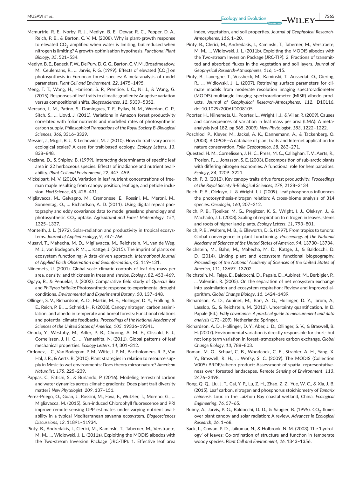- Mcmurtrie, R. E., Norby, R. J., Medlyn, B. E., Dewar, R. C., Pepper, D. A., Reich, P. B., & Barton, C. V. M. (2008). Why is plant-growth response to elevated  $CO<sub>2</sub>$  amplified when water is limiting, but reduced when nitrogen is limiting? A growth-optimisation hypothesis. *Functional Plant Biology*, *35*, 521–534.
- Medlyn, B. E., Badeck, F. W., De Pury, D. G. G., Barton, C. V. M., Broadmeadow, M., Ceulemans, R., ... Jarvis, P. G. (1999). Effects of elevated [CO<sub>2</sub>] on photosynthesis in European forest species: A meta-analysis of model parameters. *Plant Cell and Environment*, *22*, 1475–1495.
- Meng, T. T., Wang, H., Harrison, S. P., Prentice, I. C., Ni, J., & Wang, G. (2015). Responses of leaf traits to climatic gradients: Adaptive variation versus compositional shifts. *Biogeosciences*, *12*, 5339–5352.
- Mercado, L. M., Patino, S., Domingues, T. F., Fyllas, N. M., Weedon, G. P., Sitch, S., … Lloyd, J. (2011). Variations in Amazon forest productivity correlated with foliar nutrients and modelled rates of photosynthetic carbon supply. *Philosophical Transactions of the Royal Society B-Biological Sciences*, *366*, 3316–3329.
- Messier, J., Mcgill, B. J., & Lechowicz, M. J. (2010). How do traits vary across ecological scales? A case for trait-based ecology. *Ecology Letters*, *13*, 838–848.
- Meziane, D., & Shipley, B. (1999). Interacting determinants of specific leaf area in 22 herbaceous species: Effects of irradiance and nutrient availability. *Plant Cell and Environment*, *22*, 447–459.
- Mickelbart, M. V. (2010). Variation in leaf nutrient concentrations of freeman maple resulting from canopy position, leaf age, and petiole inclusion. *HortScience*, *45*, 428–431.
- Migliavacca, M., Galvagno, M., Cremonese, E., Rossini, M., Meroni, M., Sonnentag, O., … Richardson, A. D. (2011). Using digital repeat photography and eddy covariance data to model grassland phenology and photosynthetic CO<sub>2</sub> uptake. Agricultural and Forest Meteorology, 151, 1325–1337.
- Monteith, J. L. (1972). Solar-radiation and productivity in tropical ecosystems. *Journal of Applied Ecology*, *9*, 747–766.
- Musavi, T., Mahecha, M. D., Migliavacca, M., Reichstein, M., van de Weg, M. J., van Bodegom, P. M., … Kattge, J. (2015). The imprint of plants on ecosystem functioning: A data-driven approach. *International Journal of Applied Earth Observation and Geoinformation*, *43*, 119–131.
- Niinemets, U. (2001). Global-scale climatic controls of leaf dry mass per area, density, and thickness in trees and shrubs. *Ecology*, *82*, 453–469.
- Ogaya, R., & Penuelas, J. (2003). Comparative field study of *Quercus ilex* and *Phillyrea latifolia*: Photosynthetic response to experimental drought conditions. *Environmental and Experimental Botany*, *50*, 137–148.
- Ollinger, S. V., Richardson, A. D., Martin, M. E., Hollinger, D. Y., Frolking, S. E., Reich, P. B., … Schmid, H. P. (2008). Canopy nitrogen, carbon assimilation, and albedo in temperate and boreal forests: Functional relations and potential climate feedbacks. *Proceedings of the National Academy of Sciences of the United States of America*, *105*, 19336–19341.
- Onoda, Y., Westoby, M., Adler, P. B., Choong, A. M. F., Clissold, F. J., Cornelissen, J. H. C., … Yamashita, N. (2011). Global patterns of leaf mechanical properties. *Ecology Letters*, *14*, 301–312.
- Ordonez, J. C., Van Bodegom, P. M., Witte, J. P. M., Bartholomeus, R. P., Van Hal, J. R., & Aerts, R. (2010). Plant strategies in relation to resource supply in Mesic to wet environments: Does theory mirror nature? *American Naturalist*, *175*, 225–239.
- Pappas, C., Fatichi, S., & Burlando, P. (2016). Modeling terrestrial carbon and water dynamics across climatic gradients: Does plant trait diversity matter? *New Phytologist*, *209*, 137–151.
- Perez-Priego, O., Guan, J., Rossini, M., Fava, F., Wutzler, T., Moreno, G., … Migliavacca, M. (2015). Sun-induced Chlorophyll fluorescence and PRI improve remote sensing GPP estimates under varying nutrient availability in a typical Mediterranean savanna ecosystem. *Biogeosciences Discussions*, *12*, 11891–11934.
- Pinty, B., Andredakis, I., Clerici, M., Kaminski, T., Taberner, M., Verstraete, M. M., … Widlowski, J. L. (2011a). Exploiting the MODIS albedos with the Two-stream Inversion Package (JRC-TIP): 1. Effective leaf area

index, vegetation, and soil properties. *Journal of Geophysical Research-Atmospheres*, *116*, 1–20.

- Pinty, B., Clerici, M., Andredakis, I., Kaminski, T., Taberner, M., Verstraete, M. M., … Widlowski, J. L. (2011b). Exploiting the MODIS albedos with the Two-stream Inversion Package (JRC-TIP): 2. Fractions of transmitted and absorbed fluxes in the vegetation and soil layers. *Journal of Geophysical Research-Atmospheres*, *116*, 1–15.
- Pinty, B., Lavergne, T., Vossbeck, M., Kaminski, T., Aussedat, O., Giering, R., … Widlowski, J. L. (2007). Retrieving surface parameters for climate models from moderate resolution imaging spectroradiometer (MODIS)-multiangle imaging spectroradiometer (MISR) albedo products. *Journal of Geophysical Research-Atmospheres*, *112*, D10116, doi:[10.1029/2006JD008105.](http://dx.doi.org/10.1029/2006JD008105)
- Poorter, H., Niinemets, U., Poorter, L., Wright, I. J., & Villar, R. (2009). Causes and consequences of variation in leaf mass per area (LMA): A metaanalysis (vol 182, pg 565, 2009). *New Phytologist*, *183*, 1222–1222.
- Poschlod, P., Kleyer, M., Jackel, A. K., Dannemann, A., & Tackenberg, O. (2003). BIOPOP—A database of plant traits and Internet application for nature conservation. *Folia Geobotanica*, *38*, 263–271.
- Quested, H. M., Cornelissen, J. H. C., Press, M. C., Callaghan, T. V., Aerts, R., Trosien, F., … Jonasson, S. E. (2003). Decomposition of sub-arctic plants with differing nitrogen economies: A functional role for hemiparasites. *Ecology*, *84*, 3209–3221.
- Reich, P. B. (2012). Key canopy traits drive forest productivity. *Proceedings of the Royal Society B-Biological Sciences*, *279*, 2128–2134.
- Reich, P. B., Oleksyn, J., & Wright, I. J. (2009). Leaf phosphorus influences the photosynthesis-nitrogen relation: A cross-biome analysis of 314 species. *Oecologia*, *160*, 207–212.
- Reich, P. B., Tjoelker, M. G., Pregitzer, K. S., Wright, I. J., Oleksyn, J., & Machado, J. L. (2008). Scaling of respiration to nitrogen in leaves, stems and roots of higher land plants. *Ecology Letters*, *11*, 793–801.
- Reich, P. B., Walters, M. B., & Ellsworth, D. S. (1997). From tropics to tundra: Global convergence in plant functioning. *Proceedings of the National Academy of Sciences of the United States of America*, *94*, 13730–13734.
- Reichstein, M., Bahn, M., Mahecha, M. D., Kattge, J., & Baldocchi, D. D. (2014). Linking plant and ecosystem functional biogeography. Proceedings of the National Academy of Sciences of the United States of *America*, *111*, 13697–13702.
- Reichstein, M., Falge, E., Baldocchi, D., Papale, D., Aubinet, M., Berbigier, P., … Valentini, R. (2005). On the separation of net ecosystem exchange into assimilation and ecosystem respiration: Review and improved algorithm. *Global Change Biology*, *11*, 1424–1439.
- Richardson, A. D., Aubinet, M., Barr, A. G., Hollinger, D. Y., Ibrom, A., Lasslop, G., & Reichstein, M. (2012). Uncertainty quantification. In D. Papale (Ed.), *Eddy covariance. A practical guide to measurement and data analysis* (173–209). Netherlands: Springer.
- Richardson, A. D., Hollinger, D. Y., Aber, J. D., Ollinger, S. V., & Braswell, B. H. (2007). Environmental variation is directly responsible for short- but not long-term variation in forest–atmosphere carbon exchange. *Global Change Biology*, *13*, 788–803.
- Roman, M. O., Schaaf, C. B., Woodcock, C. E., Strahler, A. H., Yang, X. Y., Braswell, R. H., … Wofsy, S. C. (2009). The MODIS (Collection V005) BRDF/albedo product: Assessment of spatial representativeness over forested landscapes. *Remote Sensing of Environment*, *113*, 2476–2498.
- Rong, Q. Q., Liu, J. T., Cai, Y. P., Lu, Z. H., Zhao, Z. Z., Yue, W. C., & Xia, J. B. (2015). Leaf carbon, nitrogen and phosphorus stoichiometry of *Tamarix chinensis* Lour. in the Laizhou Bay coastal wetland, China. *Ecological Engineering*, *76*, 57–65.
- Ruimy, A., Jarvis, P. G., Baldocchi, D. D., & Saugier, B. (1995). CO<sub>2</sub> fluxes over plant canopy and solar radiation: A review. *Advances in Ecological Research*, *26*, 1–68.
- Sack, L., Cowan, P. D., Jaikumar, N., & Holbrook, N. M. (2003). The 'hydrology' of leaves: Co-ordination of structure and function in temperate woody species. *Plant Cell and Environment*, *26*, 1343–1356.